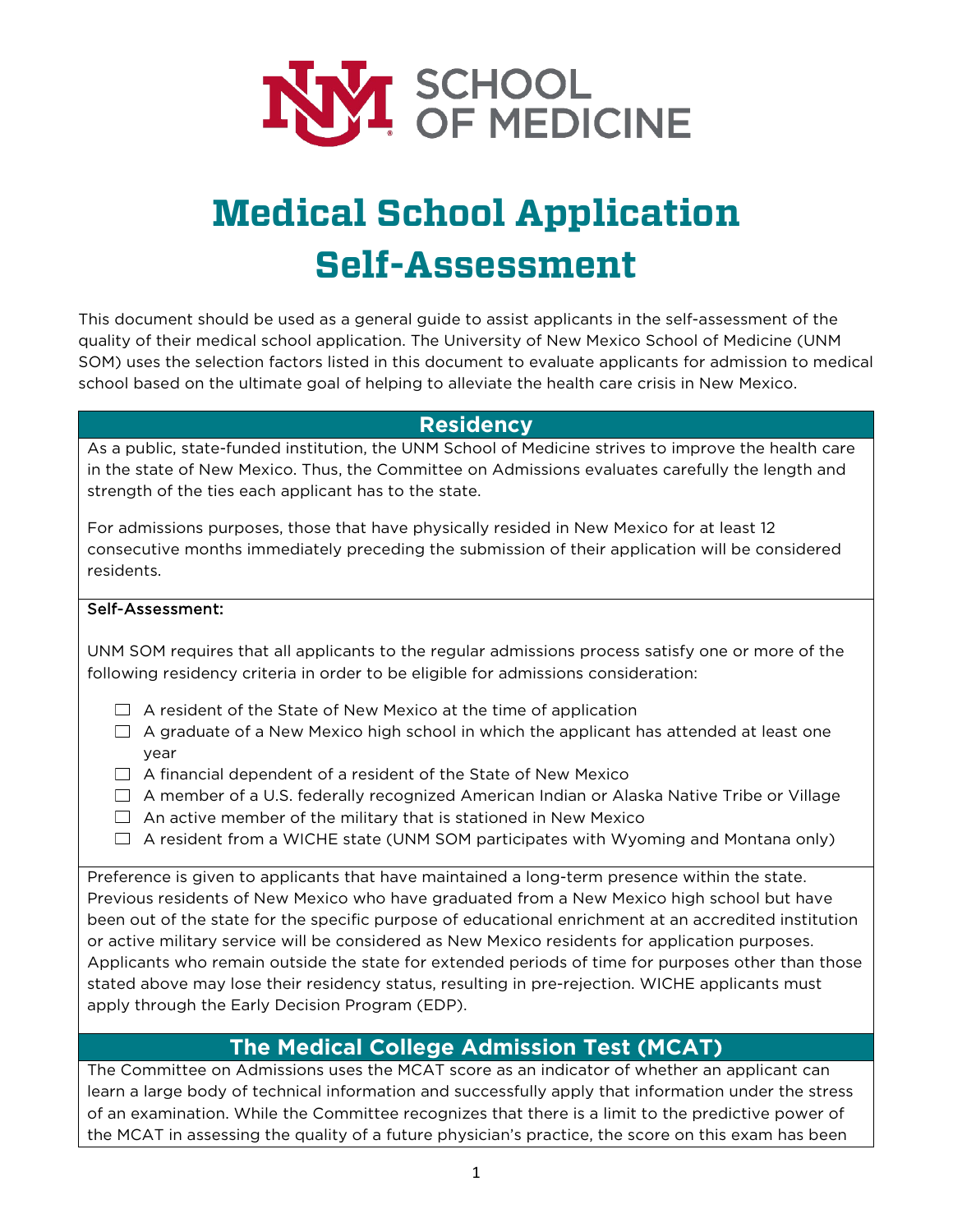

# **Medical School Application Self-Assessment**

This document should be used as a general guide to assist applicants in the self-assessment of the quality of their medical school application. The University of New Mexico School of Medicine (UNM SOM) uses the selection factors listed in this document to evaluate applicants for admission to medical school based on the ultimate goal of helping to alleviate the health care crisis in New Mexico.

## **Residency**

As a public, state-funded institution, the UNM School of Medicine strives to improve the health care in the state of New Mexico. Thus, the Committee on Admissions evaluates carefully the length and strength of the ties each applicant has to the state.

For admissions purposes, those that have physically resided in New Mexico for at least 12 consecutive months immediately preceding the submission of their application will be considered residents.

#### Self-Assessment:

UNM SOM requires that all applicants to the regular admissions process satisfy one or more of the following residency criteria in order to be eligible for admissions consideration:

- $\Box$  A resident of the State of New Mexico at the time of application
- $\Box$  A graduate of a New Mexico high school in which the applicant has attended at least one year
- $\Box$  A financial dependent of a resident of the State of New Mexico
- $\Box$  A member of a U.S. federally recognized American Indian or Alaska Native Tribe or Village
- $\Box$  An active member of the military that is stationed in New Mexico
- $\Box$  A resident from a WICHE state (UNM SOM participates with Wyoming and Montana only)

Preference is given to applicants that have maintained a long-term presence within the state. Previous residents of New Mexico who have graduated from a New Mexico high school but have been out of the state for the specific purpose of educational enrichment at an accredited institution or active military service will be considered as New Mexico residents for application purposes. Applicants who remain outside the state for extended periods of time for purposes other than those stated above may lose their residency status, resulting in pre-rejection. WICHE applicants must apply through the Early Decision Program (EDP).

## **The Medical College Admission Test (MCAT)**

The Committee on Admissions uses the MCAT score as an indicator of whether an applicant can learn a large body of technical information and successfully apply that information under the stress of an examination. While the Committee recognizes that there is a limit to the predictive power of the MCAT in assessing the quality of a future physician's practice, the score on this exam has been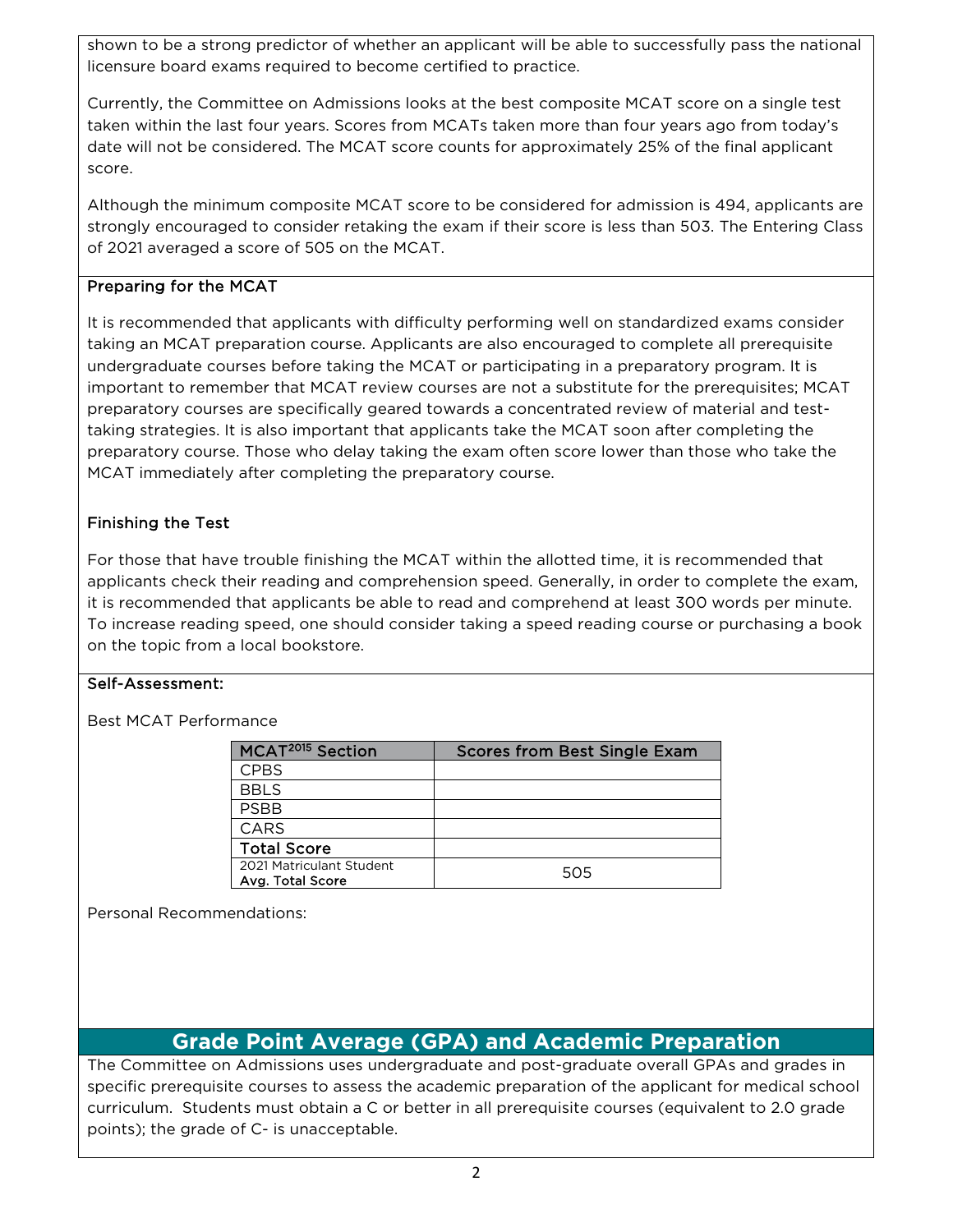shown to be a strong predictor of whether an applicant will be able to successfully pass the national licensure board exams required to become certified to practice.

Currently, the Committee on Admissions looks at the best composite MCAT score on a single test taken within the last four years. Scores from MCATs taken more than four years ago from today's date will not be considered. The MCAT score counts for approximately 25% of the final applicant score.

Although the minimum composite MCAT score to be considered for admission is 494, applicants are strongly encouraged to consider retaking the exam if their score is less than 503. The Entering Class of 2021 averaged a score of 505 on the MCAT.

#### Preparing for the MCAT

It is recommended that applicants with difficulty performing well on standardized exams consider taking an MCAT preparation course. Applicants are also encouraged to complete all prerequisite undergraduate courses before taking the MCAT or participating in a preparatory program. It is important to remember that MCAT review courses are not a substitute for the prerequisites; MCAT preparatory courses are specifically geared towards a concentrated review of material and testtaking strategies. It is also important that applicants take the MCAT soon after completing the preparatory course. Those who delay taking the exam often score lower than those who take the MCAT immediately after completing the preparatory course.

#### Finishing the Test

For those that have trouble finishing the MCAT within the allotted time, it is recommended that applicants check their reading and comprehension speed. Generally, in order to complete the exam, it is recommended that applicants be able to read and comprehend at least 300 words per minute. To increase reading speed, one should consider taking a speed reading course or purchasing a book on the topic from a local bookstore.

#### Self-Assessment:

Best MCAT Performance

| MCAT <sup>2015</sup> Section                 | <b>Scores from Best Single Exam</b> |
|----------------------------------------------|-------------------------------------|
| <b>CPBS</b>                                  |                                     |
| <b>BBLS</b>                                  |                                     |
| <b>PSBB</b>                                  |                                     |
| CARS                                         |                                     |
| <b>Total Score</b>                           |                                     |
| 2021 Matriculant Student<br>Avg. Total Score | 505                                 |

Personal Recommendations:

## **Grade Point Average (GPA) and Academic Preparation**

The Committee on Admissions uses undergraduate and post-graduate overall GPAs and grades in specific prerequisite courses to assess the academic preparation of the applicant for medical school curriculum. Students must obtain a C or better in all prerequisite courses (equivalent to 2.0 grade points); the grade of C- is unacceptable.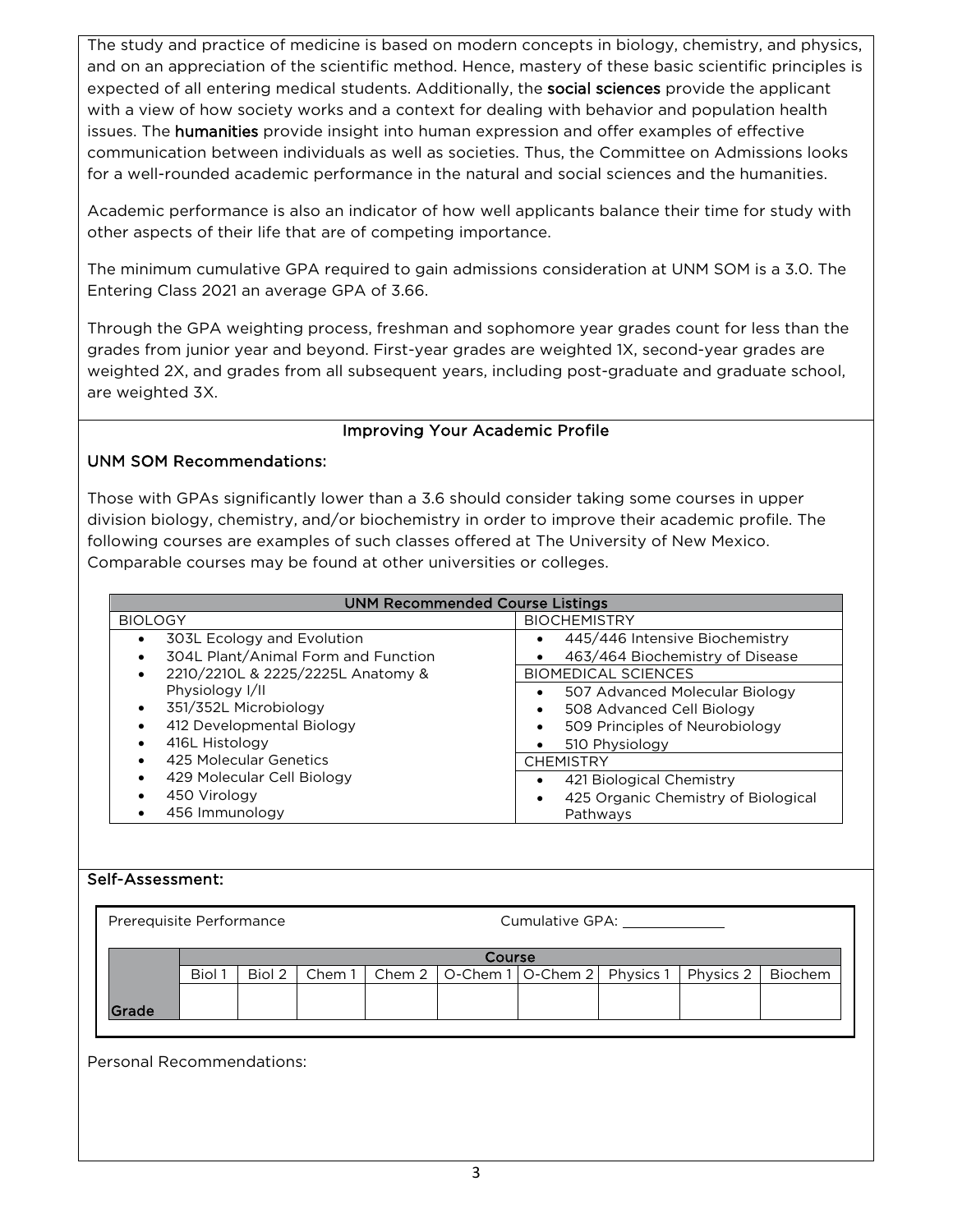The study and practice of medicine is based on modern concepts in biology, chemistry, and physics, and on an appreciation of the scientific method. Hence, mastery of these basic scientific principles is expected of all entering medical students. Additionally, the social sciences provide the applicant with a view of how society works and a context for dealing with behavior and population health issues. The **humanities** provide insight into human expression and offer examples of effective communication between individuals as well as societies. Thus, the Committee on Admissions looks for a well-rounded academic performance in the natural and social sciences and the humanities.

Academic performance is also an indicator of how well applicants balance their time for study with other aspects of their life that are of competing importance.

The minimum cumulative GPA required to gain admissions consideration at UNM SOM is a 3.0. The Entering Class 2021 an average GPA of 3.66.

Through the GPA weighting process, freshman and sophomore year grades count for less than the grades from junior year and beyond. First-year grades are weighted 1X, second-year grades are weighted 2X, and grades from all subsequent years, including post-graduate and graduate school, are weighted 3X.

#### Improving Your Academic Profile

#### UNM SOM Recommendations:

Those with GPAs significantly lower than a 3.6 should consider taking some courses in upper division biology, chemistry, and/or biochemistry in order to improve their academic profile. The following courses are examples of such classes offered at The University of New Mexico. Comparable courses may be found at other universities or colleges.

| <b>UNM Recommended Course Listings</b>  |                                     |  |  |  |  |  |
|-----------------------------------------|-------------------------------------|--|--|--|--|--|
| <b>BIOLOGY</b>                          | <b>BIOCHEMISTRY</b>                 |  |  |  |  |  |
| 303L Ecology and Evolution<br>$\bullet$ | 445/446 Intensive Biochemistry      |  |  |  |  |  |
| 304L Plant/Animal Form and Function     | 463/464 Biochemistry of Disease     |  |  |  |  |  |
| 2210/2210L & 2225/2225L Anatomy &<br>٠  | <b>BIOMEDICAL SCIENCES</b>          |  |  |  |  |  |
| Physiology I/II                         | 507 Advanced Molecular Biology      |  |  |  |  |  |
| 351/352L Microbiology<br>$\bullet$      | 508 Advanced Cell Biology           |  |  |  |  |  |
| 412 Developmental Biology               | 509 Principles of Neurobiology      |  |  |  |  |  |
| 416L Histology<br>٠                     | 510 Physiology                      |  |  |  |  |  |
| 425 Molecular Genetics                  | <b>CHEMISTRY</b>                    |  |  |  |  |  |
| 429 Molecular Cell Biology              | 421 Biological Chemistry            |  |  |  |  |  |
| 450 Virology                            | 425 Organic Chemistry of Biological |  |  |  |  |  |
| 456 Immunology<br>٠                     | Pathways                            |  |  |  |  |  |

#### Self-Assessment:

| Prerequisite Performance |        |        | Cumulative GPA: |  |  |                                                                |  |  |  |
|--------------------------|--------|--------|-----------------|--|--|----------------------------------------------------------------|--|--|--|
|                          | Course |        |                 |  |  |                                                                |  |  |  |
|                          | Biol 1 | Biol 2 | Chem1           |  |  | Chem 2   O-Chem 1   O-Chem 2   Physics 1   Physics 2   Biochem |  |  |  |
|                          |        |        |                 |  |  |                                                                |  |  |  |
| Grade                    |        |        |                 |  |  |                                                                |  |  |  |

Personal Recommendations: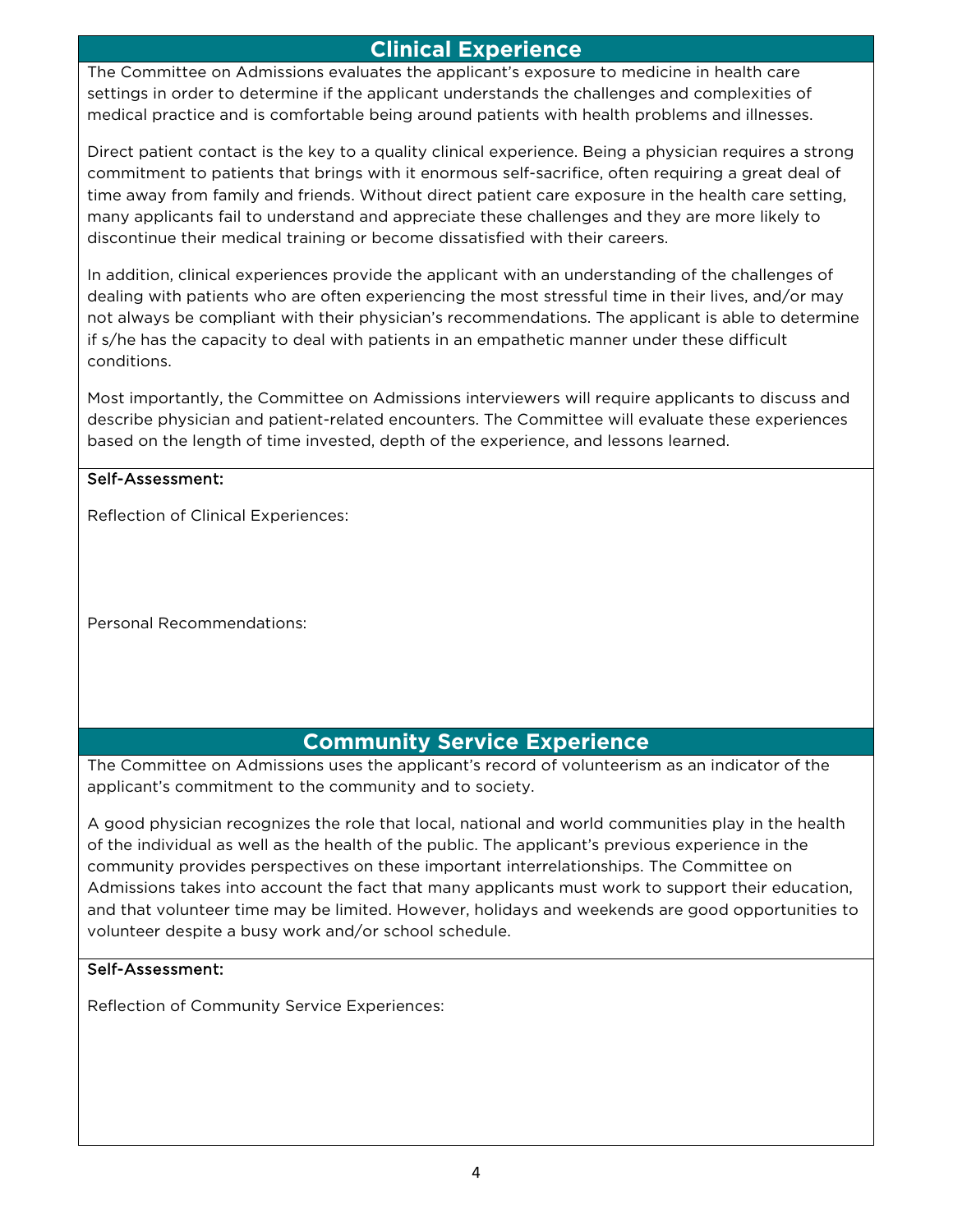## **Clinical Experience**

The Committee on Admissions evaluates the applicant's exposure to medicine in health care settings in order to determine if the applicant understands the challenges and complexities of medical practice and is comfortable being around patients with health problems and illnesses.

Direct patient contact is the key to a quality clinical experience. Being a physician requires a strong commitment to patients that brings with it enormous self-sacrifice, often requiring a great deal of time away from family and friends. Without direct patient care exposure in the health care setting, many applicants fail to understand and appreciate these challenges and they are more likely to discontinue their medical training or become dissatisfied with their careers.

In addition, clinical experiences provide the applicant with an understanding of the challenges of dealing with patients who are often experiencing the most stressful time in their lives, and/or may not always be compliant with their physician's recommendations. The applicant is able to determine if s/he has the capacity to deal with patients in an empathetic manner under these difficult conditions.

Most importantly, the Committee on Admissions interviewers will require applicants to discuss and describe physician and patient-related encounters. The Committee will evaluate these experiences based on the length of time invested, depth of the experience, and lessons learned.

#### Self-Assessment:

Reflection of Clinical Experiences:

Personal Recommendations:

### **Community Service Experience**

The Committee on Admissions uses the applicant's record of volunteerism as an indicator of the applicant's commitment to the community and to society.

A good physician recognizes the role that local, national and world communities play in the health of the individual as well as the health of the public. The applicant's previous experience in the community provides perspectives on these important interrelationships. The Committee on Admissions takes into account the fact that many applicants must work to support their education, and that volunteer time may be limited. However, holidays and weekends are good opportunities to volunteer despite a busy work and/or school schedule.

#### Self-Assessment:

Reflection of Community Service Experiences: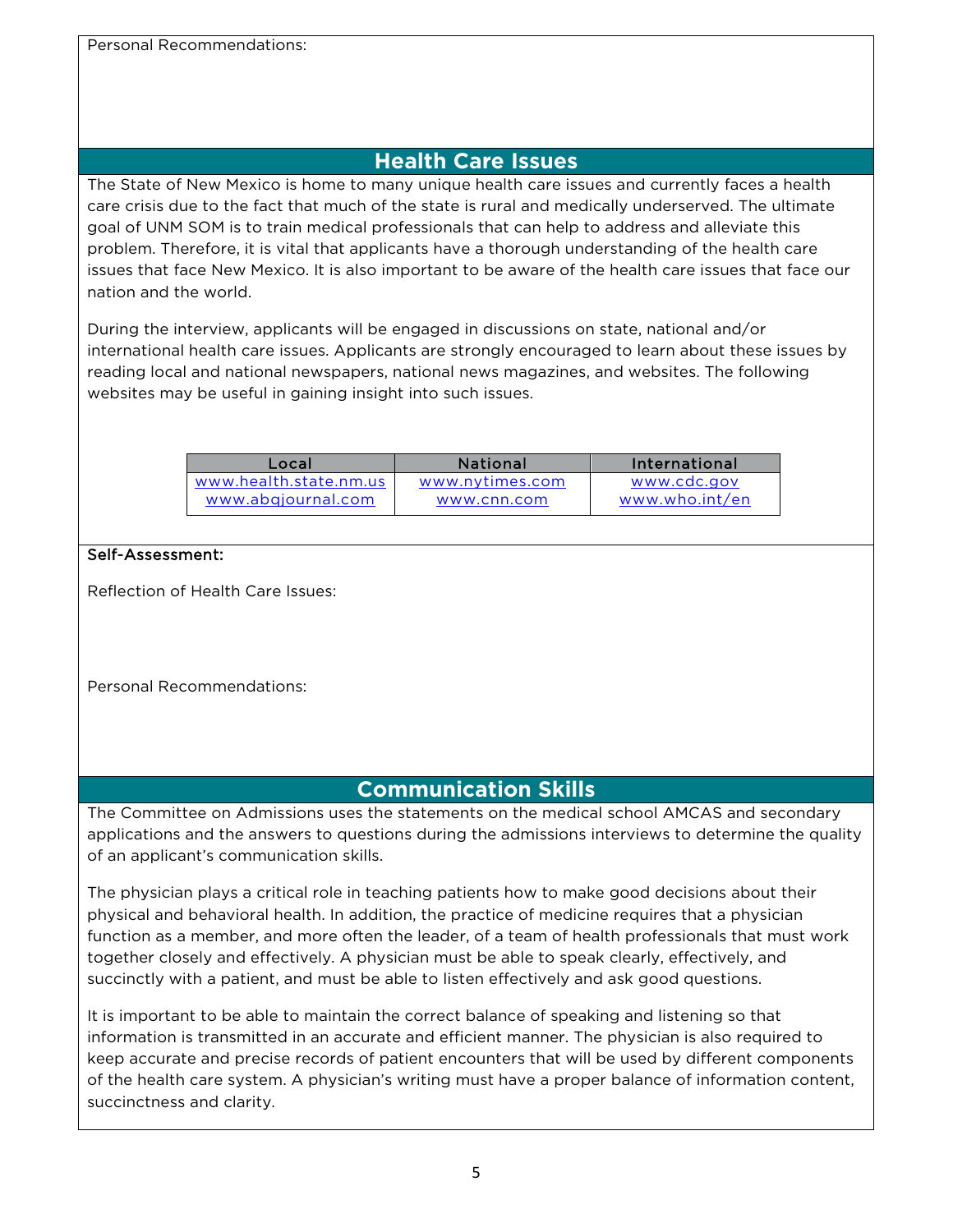Personal Recommendations:

## **Health Care Issues**

The State of New Mexico is home to many unique health care issues and currently faces a health care crisis due to the fact that much of the state is rural and medically underserved. The ultimate goal of UNM SOM is to train medical professionals that can help to address and alleviate this problem. Therefore, it is vital that applicants have a thorough understanding of the health care issues that face New Mexico. It is also important to be aware of the health care issues that face our nation and the world.

During the interview, applicants will be engaged in discussions on state, national and/or international health care issues. Applicants are strongly encouraged to learn about these issues by reading local and national newspapers, national news magazines, and websites. The following websites may be useful in gaining insight into such issues.

| Local                                        | <b>National</b> | International                 |
|----------------------------------------------|-----------------|-------------------------------|
| www.health.state.nm.us<br>www.abgjournal.com | www.nytimes.com | www.cdc.gov<br>www.who.int/en |
|                                              | www.cnn.com     |                               |

#### Self-Assessment:

Reflection of Health Care Issues:

Personal Recommendations:

## **Communication Skills**

The Committee on Admissions uses the statements on the medical school AMCAS and secondary applications and the answers to questions during the admissions interviews to determine the quality of an applicant's communication skills.

The physician plays a critical role in teaching patients how to make good decisions about their physical and behavioral health. In addition, the practice of medicine requires that a physician function as a member, and more often the leader, of a team of health professionals that must work together closely and effectively. A physician must be able to speak clearly, effectively, and succinctly with a patient, and must be able to listen effectively and ask good questions.

It is important to be able to maintain the correct balance of speaking and listening so that information is transmitted in an accurate and efficient manner. The physician is also required to keep accurate and precise records of patient encounters that will be used by different components of the health care system. A physician's writing must have a proper balance of information content, succinctness and clarity.